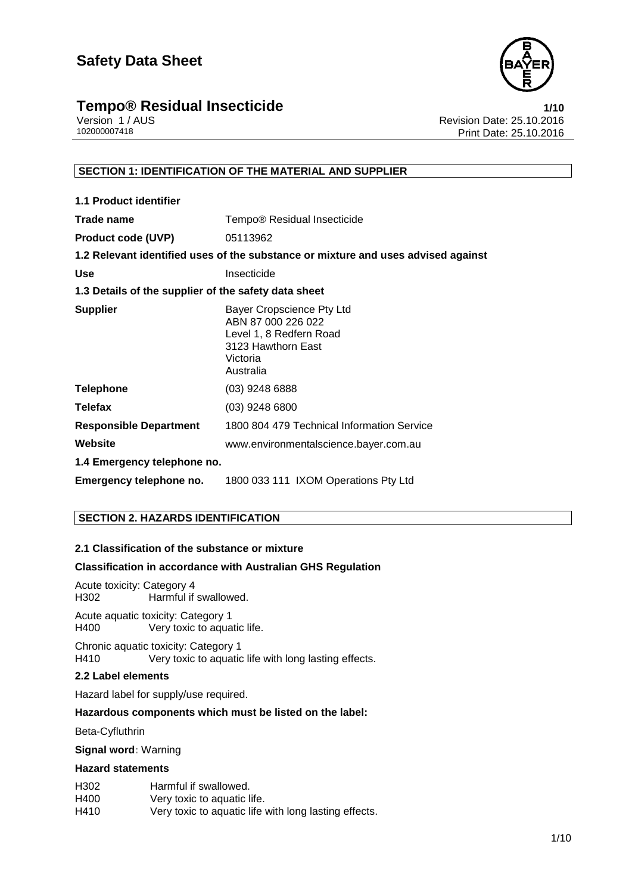

## **Tempo® Residual Insecticide**<br>
Version 1/AUS<br>
Revision Date: 25.10.2016

Version 1 / AUS<br>102000007418<br>102000007418<br>Revision Date: 25.10.2016 Print Date: 25.10.2016

#### **SECTION 1: IDENTIFICATION OF THE MATERIAL AND SUPPLIER**

| <b>1.1 Product identifier</b>                        |                                                                                                                           |
|------------------------------------------------------|---------------------------------------------------------------------------------------------------------------------------|
| Trade name                                           | Tempo® Residual Insecticide                                                                                               |
| <b>Product code (UVP)</b>                            | 05113962                                                                                                                  |
|                                                      | 1.2 Relevant identified uses of the substance or mixture and uses advised against                                         |
| <b>Use</b>                                           | Insecticide                                                                                                               |
| 1.3 Details of the supplier of the safety data sheet |                                                                                                                           |
| <b>Supplier</b>                                      | Bayer Cropscience Pty Ltd<br>ABN 87 000 226 022<br>Level 1, 8 Redfern Road<br>3123 Hawthorn East<br>Victoria<br>Australia |
| <b>Telephone</b>                                     | $(03)$ 9248 6888                                                                                                          |
| <b>Telefax</b>                                       | $(03)$ 9248 6800                                                                                                          |
| <b>Responsible Department</b>                        | 1800 804 479 Technical Information Service                                                                                |
| Website                                              | www.environmentalscience.bayer.com.au                                                                                     |
| 1.4 Emergency telephone no.                          |                                                                                                                           |
| Emergency telephone no.                              | 1800 033 111 IXOM Operations Pty Ltd                                                                                      |

#### **SECTION 2. HAZARDS IDENTIFICATION**

#### **2.1 Classification of the substance or mixture**

#### **Classification in accordance with Australian GHS Regulation**

Acute toxicity: Category 4 Harmful if swallowed.

Acute aquatic toxicity: Category 1 H400 Very toxic to aquatic life.

Chronic aquatic toxicity: Category 1 H410 Very toxic to aquatic life with long lasting effects.

#### **2.2 Label elements**

Hazard label for supply/use required.

#### **Hazardous components which must be listed on the label:**

Beta-Cyfluthrin

**Signal word:** Warning

#### **Hazard statements**

| H302 | Harmful if swallowed.                                 |
|------|-------------------------------------------------------|
| H400 | Very toxic to aquatic life.                           |
| H410 | Very toxic to aquatic life with long lasting effects. |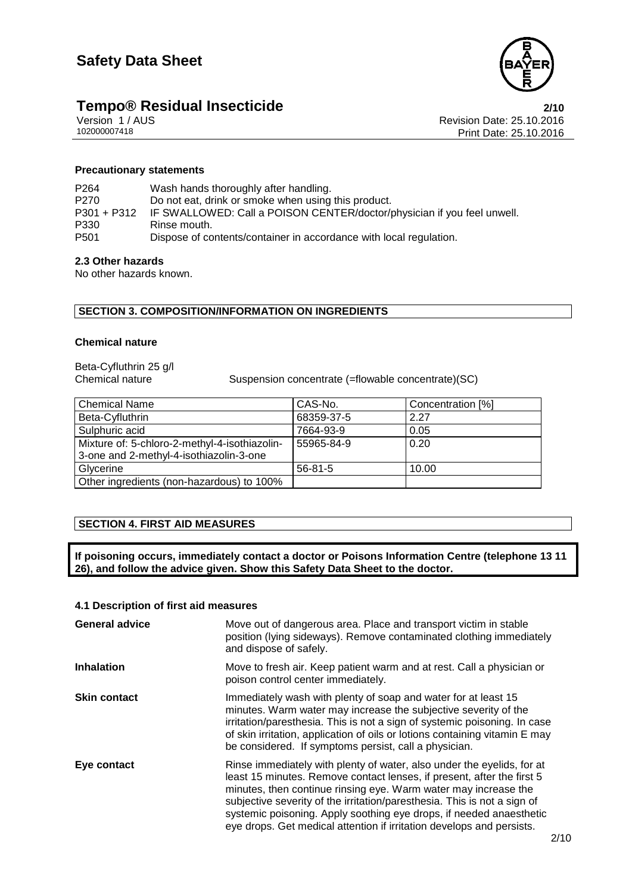

# **Tempo® Residual Insecticide**<br>
Version 1/AUS **2/10**<br>
Revision Date: 25.10.2016

Version 1 / AUS<br>102000007418<br>102000007418<br>Revision Date: 25.10.2016 Print Date: 25.10.2016

#### **Precautionary statements**

| P <sub>264</sub> | Wash hands thoroughly after handling.                                   |
|------------------|-------------------------------------------------------------------------|
| P270             | Do not eat, drink or smoke when using this product.                     |
| P301 + P312      | IF SWALLOWED: Call a POISON CENTER/doctor/physician if you feel unwell. |
| P330             | Rinse mouth.                                                            |
| P501             | Dispose of contents/container in accordance with local regulation.      |

#### **2.3 Other hazards**

No other hazards known.

#### **SECTION 3. COMPOSITION/INFORMATION ON INGREDIENTS**

#### **Chemical nature**

Beta-Cyfluthrin 25 g/l

Suspension concentrate (=flowable concentrate)(SC)

| <b>Chemical Name</b>                          | CAS-No.       | Concentration [%] |
|-----------------------------------------------|---------------|-------------------|
| Beta-Cyfluthrin                               | 68359-37-5    | 2.27              |
| Sulphuric acid                                | 7664-93-9     | 0.05              |
| Mixture of: 5-chloro-2-methyl-4-isothiazolin- | 55965-84-9    | 0.20              |
| 3-one and 2-methyl-4-isothiazolin-3-one       |               |                   |
| Glycerine                                     | $56 - 81 - 5$ | 10.00             |
| Other ingredients (non-hazardous) to 100%     |               |                   |

#### **SECTION 4. FIRST AID MEASURES**

**If poisoning occurs, immediately contact a doctor or Poisons Information Centre (telephone 13 11 26), and follow the advice given. Show this Safety Data Sheet to the doctor.**

#### **4.1 Description of first aid measures**

| <b>General advice</b> | Move out of dangerous area. Place and transport victim in stable<br>position (lying sideways). Remove contaminated clothing immediately<br>and dispose of safely.                                                                                                                                                                                                                                                                               |
|-----------------------|-------------------------------------------------------------------------------------------------------------------------------------------------------------------------------------------------------------------------------------------------------------------------------------------------------------------------------------------------------------------------------------------------------------------------------------------------|
| <b>Inhalation</b>     | Move to fresh air. Keep patient warm and at rest. Call a physician or<br>poison control center immediately.                                                                                                                                                                                                                                                                                                                                     |
| <b>Skin contact</b>   | Immediately wash with plenty of soap and water for at least 15<br>minutes. Warm water may increase the subjective severity of the<br>irritation/paresthesia. This is not a sign of systemic poisoning. In case<br>of skin irritation, application of oils or lotions containing vitamin E may<br>be considered. If symptoms persist, call a physician.                                                                                          |
| Eye contact           | Rinse immediately with plenty of water, also under the eyelids, for at<br>least 15 minutes. Remove contact lenses, if present, after the first 5<br>minutes, then continue rinsing eye. Warm water may increase the<br>subjective severity of the irritation/paresthesia. This is not a sign of<br>systemic poisoning. Apply soothing eye drops, if needed anaesthetic<br>eye drops. Get medical attention if irritation develops and persists. |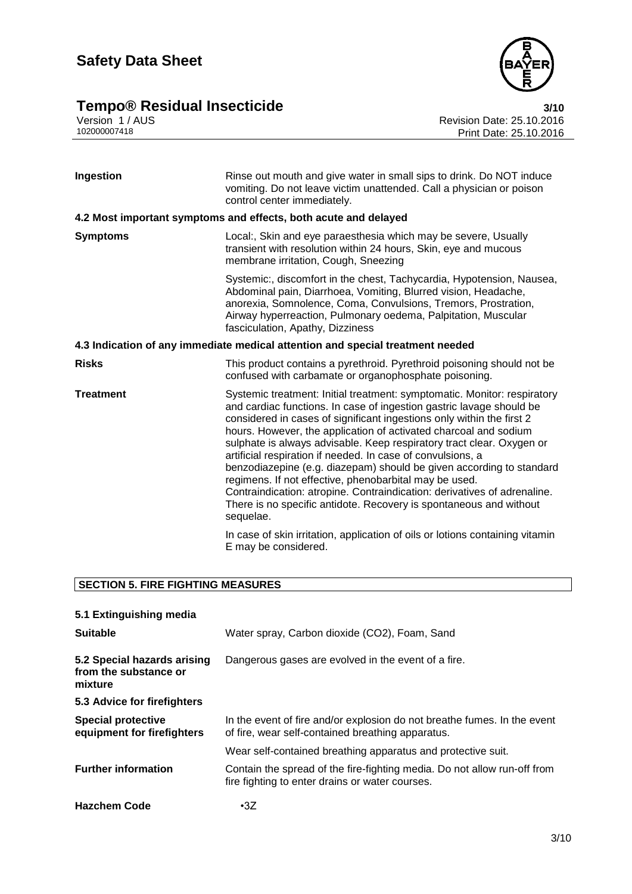



Version 1 / AUS Revision Date: 25.10.2016 102000007418 Print Date: 25.10.2016

| Ingestion                                                                      | Rinse out mouth and give water in small sips to drink. Do NOT induce<br>vomiting. Do not leave victim unattended. Call a physician or poison<br>control center immediately.                                                                                                                                                                                                                                                                                                                                                                                                                                                                                                                                                            |  |
|--------------------------------------------------------------------------------|----------------------------------------------------------------------------------------------------------------------------------------------------------------------------------------------------------------------------------------------------------------------------------------------------------------------------------------------------------------------------------------------------------------------------------------------------------------------------------------------------------------------------------------------------------------------------------------------------------------------------------------------------------------------------------------------------------------------------------------|--|
|                                                                                | 4.2 Most important symptoms and effects, both acute and delayed                                                                                                                                                                                                                                                                                                                                                                                                                                                                                                                                                                                                                                                                        |  |
| <b>Symptoms</b>                                                                | Local:, Skin and eye paraesthesia which may be severe, Usually<br>transient with resolution within 24 hours, Skin, eye and mucous<br>membrane irritation, Cough, Sneezing                                                                                                                                                                                                                                                                                                                                                                                                                                                                                                                                                              |  |
|                                                                                | Systemic:, discomfort in the chest, Tachycardia, Hypotension, Nausea,<br>Abdominal pain, Diarrhoea, Vomiting, Blurred vision, Headache,<br>anorexia, Somnolence, Coma, Convulsions, Tremors, Prostration,<br>Airway hyperreaction, Pulmonary oedema, Palpitation, Muscular<br>fasciculation, Apathy, Dizziness                                                                                                                                                                                                                                                                                                                                                                                                                         |  |
| 4.3 Indication of any immediate medical attention and special treatment needed |                                                                                                                                                                                                                                                                                                                                                                                                                                                                                                                                                                                                                                                                                                                                        |  |
| <b>Risks</b>                                                                   | This product contains a pyrethroid. Pyrethroid poisoning should not be<br>confused with carbamate or organophosphate poisoning.                                                                                                                                                                                                                                                                                                                                                                                                                                                                                                                                                                                                        |  |
| <b>Treatment</b>                                                               | Systemic treatment: Initial treatment: symptomatic. Monitor: respiratory<br>and cardiac functions. In case of ingestion gastric lavage should be<br>considered in cases of significant ingestions only within the first 2<br>hours. However, the application of activated charcoal and sodium<br>sulphate is always advisable. Keep respiratory tract clear. Oxygen or<br>artificial respiration if needed. In case of convulsions, a<br>benzodiazepine (e.g. diazepam) should be given according to standard<br>regimens. If not effective, phenobarbital may be used.<br>Contraindication: atropine. Contraindication: derivatives of adrenaline.<br>There is no specific antidote. Recovery is spontaneous and without<br>sequelae. |  |
|                                                                                | In case of skin irritation, application of oils or lotions containing vitamin<br>E may be considered.                                                                                                                                                                                                                                                                                                                                                                                                                                                                                                                                                                                                                                  |  |

### **SECTION 5. FIRE FIGHTING MEASURES**

| 5.1 Extinguishing media                                         |                                                                                                                               |
|-----------------------------------------------------------------|-------------------------------------------------------------------------------------------------------------------------------|
| <b>Suitable</b>                                                 | Water spray, Carbon dioxide (CO2), Foam, Sand                                                                                 |
| 5.2 Special hazards arising<br>from the substance or<br>mixture | Dangerous gases are evolved in the event of a fire.                                                                           |
| 5.3 Advice for firefighters                                     |                                                                                                                               |
| <b>Special protective</b><br>equipment for firefighters         | In the event of fire and/or explosion do not breathe fumes. In the event<br>of fire, wear self-contained breathing apparatus. |
|                                                                 | Wear self-contained breathing apparatus and protective suit.                                                                  |
| <b>Further information</b>                                      | Contain the spread of the fire-fighting media. Do not allow run-off from<br>fire fighting to enter drains or water courses.   |
| <b>Hazchem Code</b>                                             | $\cdot 3Z$                                                                                                                    |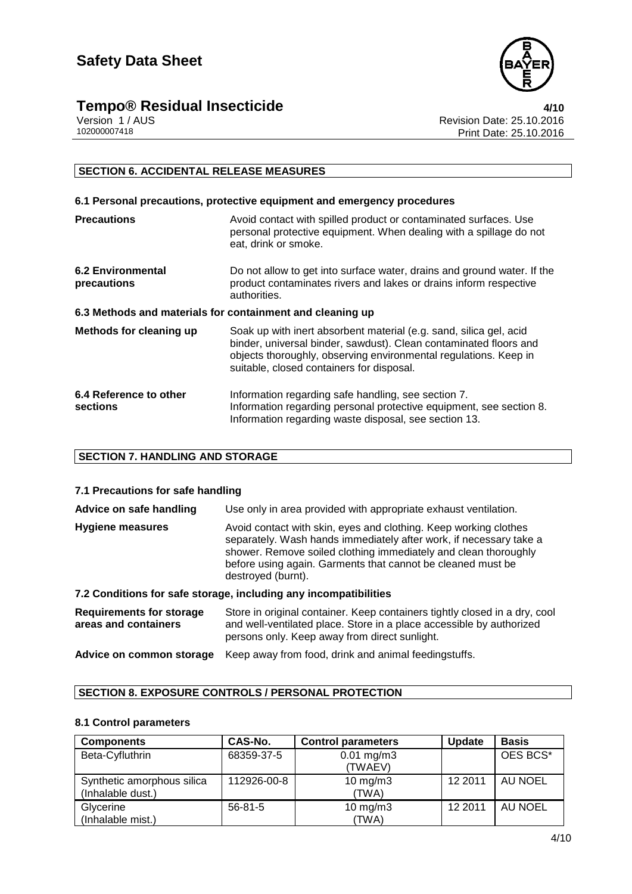

# **Tempo® Residual Insecticide**<br>Version 1/AUS Version 1/AUS

Version 1 / AUS<br>102000007418<br>102000007418<br>Revision Date: 25.10.2016 Print Date: 25.10.2016

#### **SECTION 6. ACCIDENTAL RELEASE MEASURES**

| 6.1 Personal precautions, protective equipment and emergency procedures |                                                                                                                                                                                                                                                          |  |
|-------------------------------------------------------------------------|----------------------------------------------------------------------------------------------------------------------------------------------------------------------------------------------------------------------------------------------------------|--|
| <b>Precautions</b>                                                      | Avoid contact with spilled product or contaminated surfaces. Use<br>personal protective equipment. When dealing with a spillage do not<br>eat, drink or smoke.                                                                                           |  |
| <b>6.2 Environmental</b><br>precautions                                 | Do not allow to get into surface water, drains and ground water. If the<br>product contaminates rivers and lakes or drains inform respective<br>authorities.                                                                                             |  |
| 6.3 Methods and materials for containment and cleaning up               |                                                                                                                                                                                                                                                          |  |
| Methods for cleaning up                                                 | Soak up with inert absorbent material (e.g. sand, silica gel, acid<br>binder, universal binder, sawdust). Clean contaminated floors and<br>objects thoroughly, observing environmental regulations. Keep in<br>suitable, closed containers for disposal. |  |
| 6.4 Reference to other<br>sections                                      | Information regarding safe handling, see section 7.<br>Information regarding personal protective equipment, see section 8.<br>Information regarding waste disposal, see section 13.                                                                      |  |

#### **SECTION 7. HANDLING AND STORAGE**

#### **7.1 Precautions for safe handling**

| Advice on safe handling                                 | Use only in area provided with appropriate exhaust ventilation.                                                                                                                                                                                                                                |
|---------------------------------------------------------|------------------------------------------------------------------------------------------------------------------------------------------------------------------------------------------------------------------------------------------------------------------------------------------------|
| <b>Hygiene measures</b>                                 | Avoid contact with skin, eyes and clothing. Keep working clothes<br>separately. Wash hands immediately after work, if necessary take a<br>shower. Remove soiled clothing immediately and clean thoroughly<br>before using again. Garments that cannot be cleaned must be<br>destroyed (burnt). |
|                                                         | 7.2 Conditions for safe storage, including any incompatibilities                                                                                                                                                                                                                               |
| <b>Requirements for storage</b><br>areas and containers | Store in original container. Keep containers tightly closed in a dry, cool<br>and well-ventilated place. Store in a place accessible by authorized                                                                                                                                             |

persons only. Keep away from direct sunlight.

### **Advice on common storage** Keep away from food, drink and animal feedingstuffs.

#### **SECTION 8. EXPOSURE CONTROLS / PERSONAL PROTECTION**

#### **8.1 Control parameters**

| <b>Components</b>                               | CAS-No.       | <b>Control parameters</b>        | <b>Update</b> | <b>Basis</b>   |
|-------------------------------------------------|---------------|----------------------------------|---------------|----------------|
| Beta-Cyfluthrin                                 | 68359-37-5    | $0.01 \text{ mg/m}$ 3<br>(TWAEV) |               | OES BCS*       |
| Synthetic amorphous silica<br>(Inhalable dust.) | 112926-00-8   | $10$ mg/m $3$<br>(TWA)           | 12 2011       | <b>AU NOEL</b> |
| Glycerine<br>(Inhalable mist.)                  | $56 - 81 - 5$ | $10$ mg/m $3$<br>(TWA)           | 12 2011       | AU NOEL        |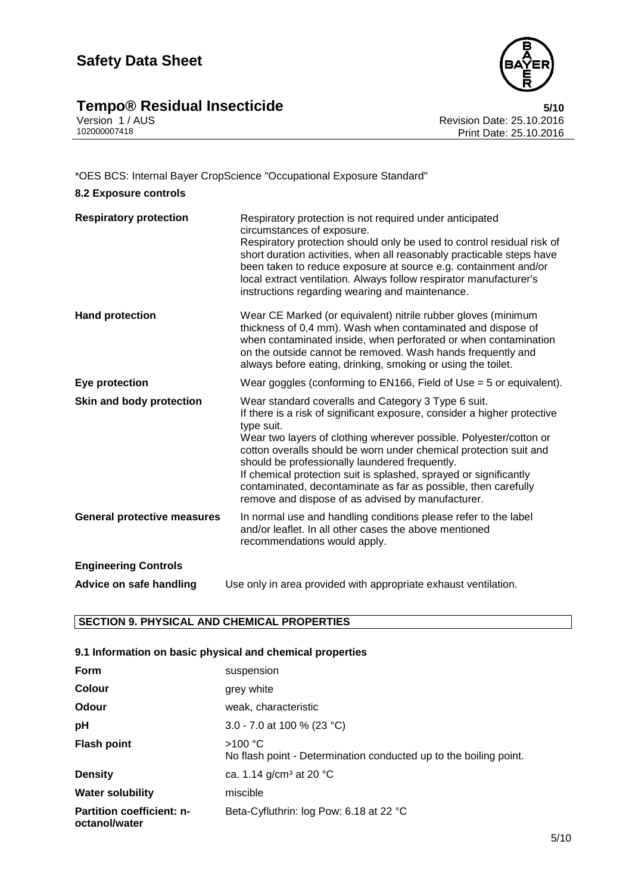## **Safety Data Sheet**





Version 1 / AUS Revision Date: 25.10.2016 Print Date: 25.10.2016

#### \*OES BCS: Internal Bayer CropScience "Occupational Exposure Standard"

| <b>8.2 Exposure controls</b>       |                                                                                                                                                                                                                                                                                                                                                                                                                                                                                                                                        |
|------------------------------------|----------------------------------------------------------------------------------------------------------------------------------------------------------------------------------------------------------------------------------------------------------------------------------------------------------------------------------------------------------------------------------------------------------------------------------------------------------------------------------------------------------------------------------------|
| <b>Respiratory protection</b>      | Respiratory protection is not required under anticipated<br>circumstances of exposure.<br>Respiratory protection should only be used to control residual risk of<br>short duration activities, when all reasonably practicable steps have<br>been taken to reduce exposure at source e.g. containment and/or<br>local extract ventilation. Always follow respirator manufacturer's<br>instructions regarding wearing and maintenance.                                                                                                  |
| <b>Hand protection</b>             | Wear CE Marked (or equivalent) nitrile rubber gloves (minimum<br>thickness of 0,4 mm). Wash when contaminated and dispose of<br>when contaminated inside, when perforated or when contamination<br>on the outside cannot be removed. Wash hands frequently and<br>always before eating, drinking, smoking or using the toilet.                                                                                                                                                                                                         |
| Eye protection                     | Wear goggles (conforming to EN166, Field of Use $=$ 5 or equivalent).                                                                                                                                                                                                                                                                                                                                                                                                                                                                  |
| Skin and body protection           | Wear standard coveralls and Category 3 Type 6 suit.<br>If there is a risk of significant exposure, consider a higher protective<br>type suit.<br>Wear two layers of clothing wherever possible. Polyester/cotton or<br>cotton overalls should be worn under chemical protection suit and<br>should be professionally laundered frequently.<br>If chemical protection suit is splashed, sprayed or significantly<br>contaminated, decontaminate as far as possible, then carefully<br>remove and dispose of as advised by manufacturer. |
| <b>General protective measures</b> | In normal use and handling conditions please refer to the label<br>and/or leaflet. In all other cases the above mentioned<br>recommendations would apply.                                                                                                                                                                                                                                                                                                                                                                              |
| <b>Engineering Controls</b>        |                                                                                                                                                                                                                                                                                                                                                                                                                                                                                                                                        |
| Advice on safe handling            | Use only in area provided with appropriate exhaust ventilation.                                                                                                                                                                                                                                                                                                                                                                                                                                                                        |

#### **SECTION 9. PHYSICAL AND CHEMICAL PROPERTIES**

#### **9.1 Information on basic physical and chemical properties**

| Form                                              | suspension                                                                   |
|---------------------------------------------------|------------------------------------------------------------------------------|
| <b>Colour</b>                                     | grey white                                                                   |
| Odour                                             | weak, characteristic                                                         |
| pH                                                | 3.0 - 7.0 at 100 % (23 °C)                                                   |
| <b>Flash point</b>                                | >100 °C<br>No flash point - Determination conducted up to the boiling point. |
| <b>Density</b>                                    | ca. 1.14 g/cm <sup>3</sup> at 20 °C                                          |
| <b>Water solubility</b>                           | miscible                                                                     |
| <b>Partition coefficient: n-</b><br>octanol/water | Beta-Cyfluthrin: log Pow: 6.18 at 22 °C                                      |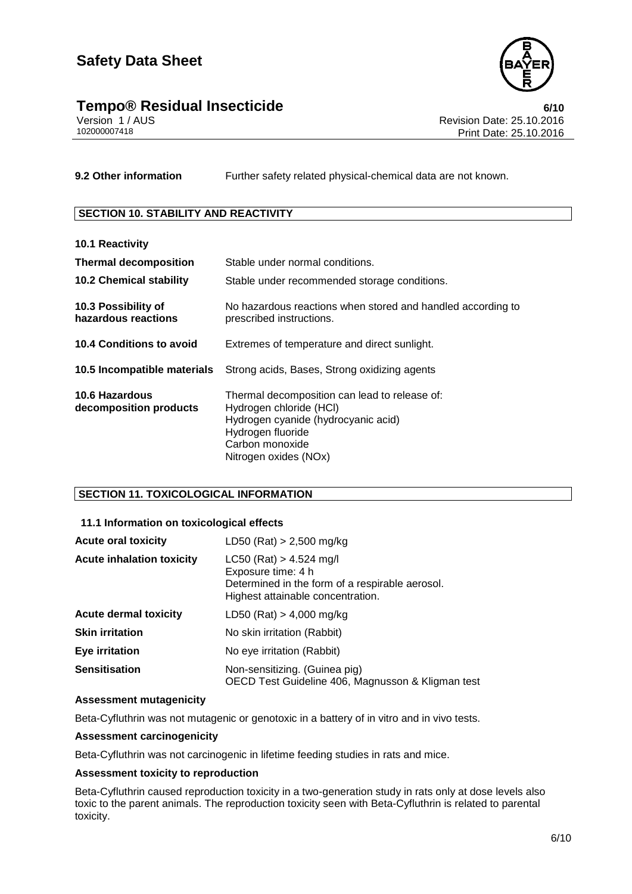



Version 1 / AUS<br>10200007418<br>Print Date: 25.10.2016 Print Date: 25.10.2016

**9.2 Other information** Further safety related physical-chemical data are not known.

#### **SECTION 10. STABILITY AND REACTIVITY**

| <b>10.1 Reactivity</b>                     |                                                                                                                                                                                  |
|--------------------------------------------|----------------------------------------------------------------------------------------------------------------------------------------------------------------------------------|
| <b>Thermal decomposition</b>               | Stable under normal conditions.                                                                                                                                                  |
| <b>10.2 Chemical stability</b>             | Stable under recommended storage conditions.                                                                                                                                     |
| 10.3 Possibility of<br>hazardous reactions | No hazardous reactions when stored and handled according to<br>prescribed instructions.                                                                                          |
| <b>10.4 Conditions to avoid</b>            | Extremes of temperature and direct sunlight.                                                                                                                                     |
| 10.5 Incompatible materials                | Strong acids, Bases, Strong oxidizing agents                                                                                                                                     |
| 10.6 Hazardous<br>decomposition products   | Thermal decomposition can lead to release of:<br>Hydrogen chloride (HCI)<br>Hydrogen cyanide (hydrocyanic acid)<br>Hydrogen fluoride<br>Carbon monoxide<br>Nitrogen oxides (NOx) |

#### **SECTION 11. TOXICOLOGICAL INFORMATION**

#### **11.1 Information on toxicological effects**

| <b>Acute oral toxicity</b>       | LD50 (Rat) $> 2,500$ mg/kg                                                                                                              |
|----------------------------------|-----------------------------------------------------------------------------------------------------------------------------------------|
| <b>Acute inhalation toxicity</b> | $LC50$ (Rat) > 4.524 mg/l<br>Exposure time: 4 h<br>Determined in the form of a respirable aerosol.<br>Highest attainable concentration. |
| <b>Acute dermal toxicity</b>     | LD50 (Rat) $> 4,000$ mg/kg                                                                                                              |
| <b>Skin irritation</b>           | No skin irritation (Rabbit)                                                                                                             |
| <b>Eye irritation</b>            | No eye irritation (Rabbit)                                                                                                              |
| <b>Sensitisation</b>             | Non-sensitizing. (Guinea pig)<br>OECD Test Guideline 406, Magnusson & Kligman test                                                      |

#### **Assessment mutagenicity**

Beta-Cyfluthrin was not mutagenic or genotoxic in a battery of in vitro and in vivo tests.

#### **Assessment carcinogenicity**

Beta-Cyfluthrin was not carcinogenic in lifetime feeding studies in rats and mice.

#### **Assessment toxicity to reproduction**

Beta-Cyfluthrin caused reproduction toxicity in a two-generation study in rats only at dose levels also toxic to the parent animals. The reproduction toxicity seen with Beta-Cyfluthrin is related to parental toxicity.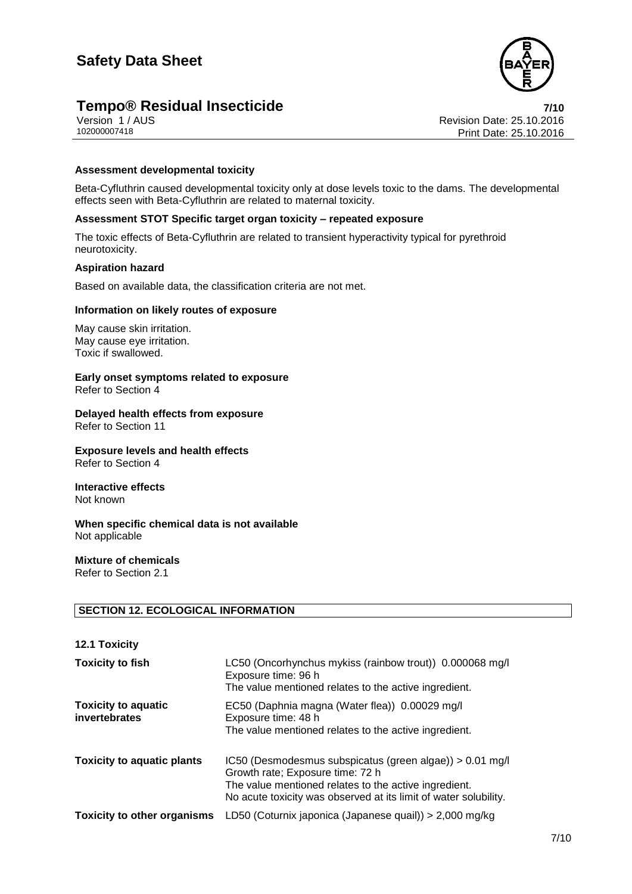



Version 1 / AUS<br>10200007418<br>Print Date: 25.10.2016 Print Date: 25.10.2016

#### **Assessment developmental toxicity**

Beta-Cyfluthrin caused developmental toxicity only at dose levels toxic to the dams. The developmental effects seen with Beta-Cyfluthrin are related to maternal toxicity.

#### **Assessment STOT Specific target organ toxicity – repeated exposure**

The toxic effects of Beta-Cyfluthrin are related to transient hyperactivity typical for pyrethroid neurotoxicity.

#### **Aspiration hazard**

Based on available data, the classification criteria are not met.

#### **Information on likely routes of exposure**

May cause skin irritation. May cause eye irritation. Toxic if swallowed.

**Early onset symptoms related to exposure** Refer to Section 4

**Delayed health effects from exposure** Refer to Section 11

**Exposure levels and health effects** Refer to Section 4

**Interactive effects** Not known

**When specific chemical data is not available** Not applicable

**Mixture of chemicals** Refer to Section 2.1

#### **SECTION 12. ECOLOGICAL INFORMATION**

| <b>12.1 Toxicity</b>                        |                                                                                                                                                                                                                             |
|---------------------------------------------|-----------------------------------------------------------------------------------------------------------------------------------------------------------------------------------------------------------------------------|
| <b>Toxicity to fish</b>                     | LC50 (Oncorhynchus mykiss (rainbow trout)) 0.000068 mg/l<br>Exposure time: 96 h<br>The value mentioned relates to the active ingredient.                                                                                    |
| <b>Toxicity to aquatic</b><br>invertebrates | EC50 (Daphnia magna (Water flea)) 0.00029 mg/l<br>Exposure time: 48 h<br>The value mentioned relates to the active ingredient.                                                                                              |
| <b>Toxicity to aquatic plants</b>           | IC50 (Desmodesmus subspicatus (green algae)) $> 0.01$ mg/l<br>Growth rate; Exposure time: 72 h<br>The value mentioned relates to the active ingredient.<br>No acute toxicity was observed at its limit of water solubility. |
| <b>Toxicity to other organisms</b>          | LD50 (Coturnix japonica (Japanese quail)) > 2,000 mg/kg                                                                                                                                                                     |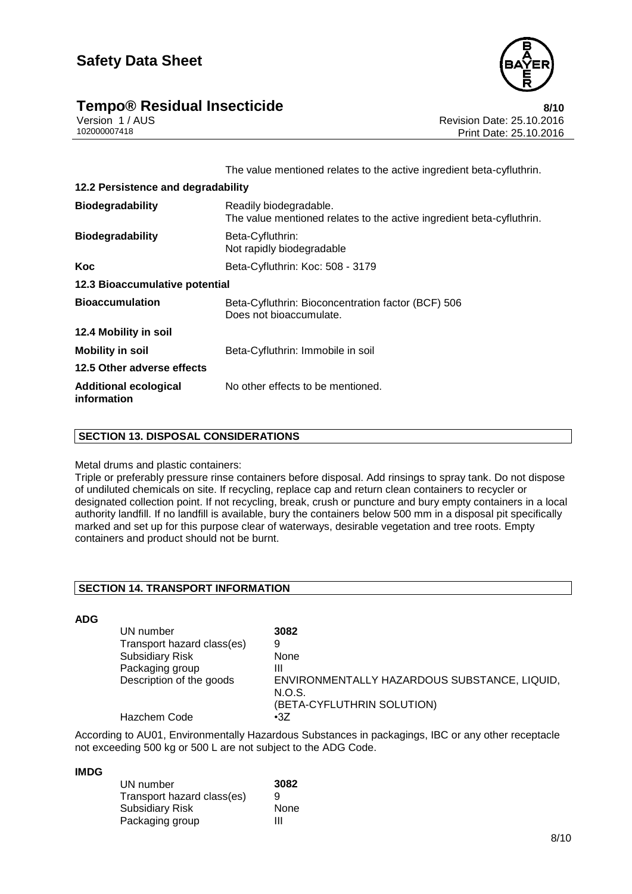

## **Tempo® Residual Insecticide**<br>Version 1/AUS **8/10**<br>Revision Date: 25.10.2016

Version 1 / AUS<br>10200007418<br>Print Date: 25.10.2016 Print Date: 25.10.2016

The value mentioned relates to the active ingredient beta-cyfluthrin.

| 12.2 Persistence and degradability          |                                                                                                 |
|---------------------------------------------|-------------------------------------------------------------------------------------------------|
| <b>Biodegradability</b>                     | Readily biodegradable.<br>The value mentioned relates to the active ingredient beta-cyfluthrin. |
| <b>Biodegradability</b>                     | Beta-Cyfluthrin:<br>Not rapidly biodegradable                                                   |
| Koc                                         | Beta-Cyfluthrin: Koc: 508 - 3179                                                                |
| 12.3 Bioaccumulative potential              |                                                                                                 |
| <b>Bioaccumulation</b>                      | Beta-Cyfluthrin: Bioconcentration factor (BCF) 506<br>Does not bioaccumulate.                   |
| 12.4 Mobility in soil                       |                                                                                                 |
| <b>Mobility in soil</b>                     | Beta-Cyfluthrin: Immobile in soil                                                               |
| 12.5 Other adverse effects                  |                                                                                                 |
| <b>Additional ecological</b><br>information | No other effects to be mentioned.                                                               |

#### **SECTION 13. DISPOSAL CONSIDERATIONS**

#### Metal drums and plastic containers:

Triple or preferably pressure rinse containers before disposal. Add rinsings to spray tank. Do not dispose of undiluted chemicals on site. If recycling, replace cap and return clean containers to recycler or designated collection point. If not recycling, break, crush or puncture and bury empty containers in a local authority landfill. If no landfill is available, bury the containers below 500 mm in a disposal pit specifically marked and set up for this purpose clear of waterways, desirable vegetation and tree roots. Empty containers and product should not be burnt.

#### **SECTION 14. TRANSPORT INFORMATION**

**ADG**

| UN number                  | 3082                                                   |
|----------------------------|--------------------------------------------------------|
| Transport hazard class(es) | 9                                                      |
| <b>Subsidiary Risk</b>     | None                                                   |
| Packaging group            | Ш                                                      |
| Description of the goods   | ENVIRONMENTALLY HAZARDOUS SUBSTANCE, LIQUID,<br>N.O.S. |
|                            | (BETA-CYFLUTHRIN SOLUTION)                             |
| Hazchem Code               | $\cdot$ 3Z                                             |

According to AU01, Environmentally Hazardous Substances in packagings, IBC or any other receptacle not exceeding 500 kg or 500 L are not subject to the ADG Code.

#### **IMDG**

| UN number                  | 3082 |
|----------------------------|------|
| Transport hazard class(es) | 9    |
| <b>Subsidiary Risk</b>     | None |
| Packaging group            | ш    |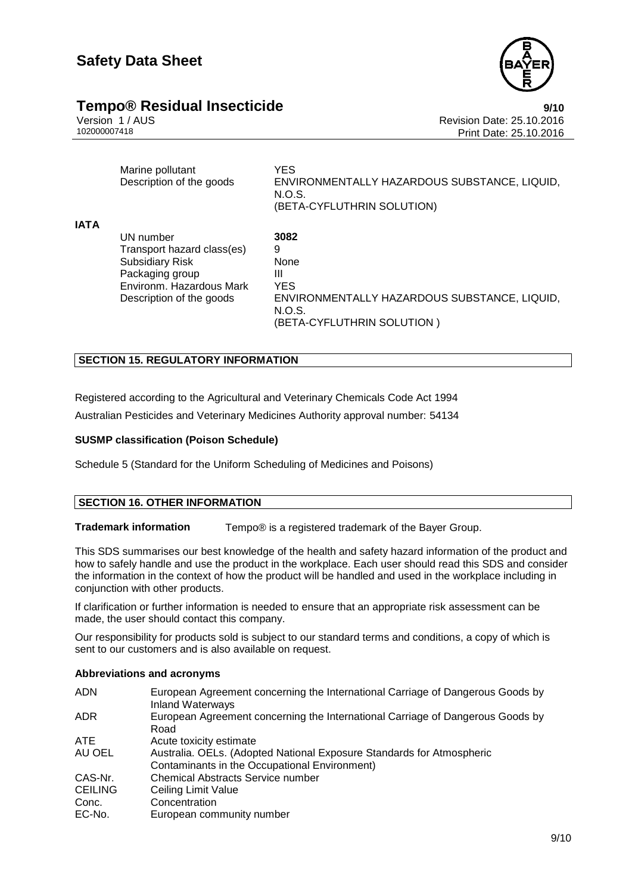

## **Tempo® Residual Insecticide**<br>
Version 1/AUS<br>
Revision Date: 25.10.2016

Version 1 / AUS<br>10200007418<br>102000007418<br>Revision Date: 25.10.2016 Print Date: 25.10.2016

|             | Marine pollutant<br>Description of the goods | <b>YES</b><br>ENVIRONMENTALLY HAZARDOUS SUBSTANCE, LIQUID,<br>N.O.S.<br>(BETA-CYFLUTHRIN SOLUTION) |
|-------------|----------------------------------------------|----------------------------------------------------------------------------------------------------|
| <b>IATA</b> |                                              |                                                                                                    |
|             | UN number                                    | 3082                                                                                               |
|             | Transport hazard class(es)                   | 9                                                                                                  |
|             | <b>Subsidiary Risk</b>                       | None                                                                                               |
|             | Packaging group                              | Ш                                                                                                  |
|             | Environm. Hazardous Mark                     | <b>YES</b>                                                                                         |
|             | Description of the goods                     | ENVIRONMENTALLY HAZARDOUS SUBSTANCE, LIQUID,<br>N.O.S.                                             |
|             |                                              | (BETA-CYFLUTHRIN SOLUTION)                                                                         |

#### **SECTION 15. REGULATORY INFORMATION**

Registered according to the Agricultural and Veterinary Chemicals Code Act 1994

Australian Pesticides and Veterinary Medicines Authority approval number: 54134

#### **SUSMP classification (Poison Schedule)**

Schedule 5 (Standard for the Uniform Scheduling of Medicines and Poisons)

#### **SECTION 16. OTHER INFORMATION**

**Trademark information** Tempo® is a registered trademark of the Bayer Group.

This SDS summarises our best knowledge of the health and safety hazard information of the product and how to safely handle and use the product in the workplace. Each user should read this SDS and consider the information in the context of how the product will be handled and used in the workplace including in conjunction with other products.

If clarification or further information is needed to ensure that an appropriate risk assessment can be made, the user should contact this company.

Our responsibility for products sold is subject to our standard terms and conditions, a copy of which is sent to our customers and is also available on request.

#### **Abbreviations and acronyms**

| <b>ADN</b>     | European Agreement concerning the International Carriage of Dangerous Goods by<br><b>Inland Waterways</b> |
|----------------|-----------------------------------------------------------------------------------------------------------|
| ADR.           | European Agreement concerning the International Carriage of Dangerous Goods by<br>Road                    |
| <b>ATE</b>     | Acute toxicity estimate                                                                                   |
| AU OEL         | Australia. OELs. (Adopted National Exposure Standards for Atmospheric                                     |
|                | Contaminants in the Occupational Environment)                                                             |
| CAS-Nr.        | <b>Chemical Abstracts Service number</b>                                                                  |
| <b>CEILING</b> | Ceiling Limit Value                                                                                       |
| Conc.          | Concentration                                                                                             |
| EC-No.         | European community number                                                                                 |